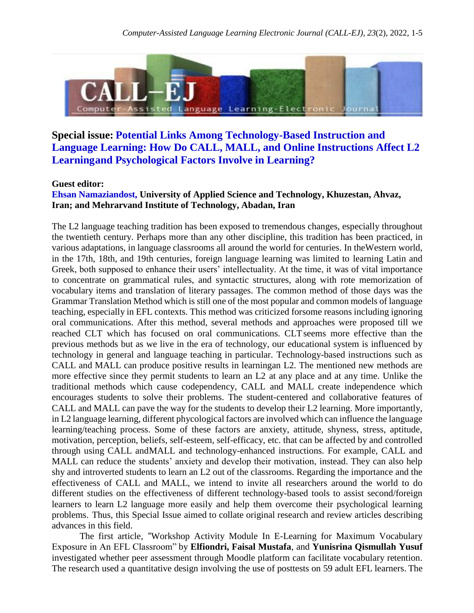

## **Special issue: Potential Links Among Technology-Based Instruction and Language Learning: How Do CALL, MALL, and Online Instructions Affect L2 Learningand Psychological Factors Involve in Learning?**

## **Guest editor:**

## **Ehsan Namaziandost, University of Applied Science and Technology, Khuzestan, Ahvaz, Iran; and Mehrarvand Institute of Technology, Abadan, Iran**

The L2 language teaching tradition has been exposed to tremendous changes, especially throughout the twentieth century. Perhaps more than any other discipline, this tradition has been practiced, in various adaptations, in language classrooms all around the world for centuries. In theWestern world, in the 17th, 18th, and 19th centuries, foreign language learning was limited to learning Latin and Greek, both supposed to enhance their users' intellectuality. At the time, it was of vital importance to concentrate on grammatical rules, and syntactic structures, along with rote memorization of vocabulary items and translation of literary passages. The common method of those days was the Grammar Translation Method which is still one of the most popular and common models of language teaching, especially in EFL contexts. This method was criticized forsome reasons including ignoring oral communications. After this method, several methods and approaches were proposed till we reached CLT which has focused on oral communications. CLT seems more effective than the previous methods but as we live in the era of technology, our educational system is influenced by technology in general and language teaching in particular. Technology-based instructions such as CALL and MALL can produce positive results in learningan L2. The mentioned new methods are more effective since they permit students to learn an L2 at any place and at any time. Unlike the traditional methods which cause codependency, CALL and MALL create independence which encourages students to solve their problems. The student-centered and collaborative features of CALL and MALL can pave the way for the students to develop their L2 learning. More importantly, in L2 language learning, different phycological factors are involved which can influence the language learning/teaching process. Some of these factors are anxiety, attitude, shyness, stress, aptitude, motivation, perception, beliefs, self-esteem, self-efficacy, etc. that can be affected by and controlled through using CALL andMALL and technology-enhanced instructions. For example, CALL and MALL can reduce the students' anxiety and develop their motivation, instead. They can also help shy and introverted students to learn an L2 out of the classrooms. Regarding the importance and the effectiveness of CALL and MALL, we intend to invite all researchers around the world to do different studies on the effectiveness of different technology-based tools to assist second/foreign learners to learn L2 language more easily and help them overcome their psychological learning problems. Thus, this Special Issue aimed to collate original research and review articles describing advances in this field.

The first article, "Workshop Activity Module In E-Learning for Maximum Vocabulary Exposure in An EFL Classroom" by **Elfiondri, Faisal Mustafa**, and **Yunisrina Qismullah Yusuf** investigated whether peer assessment through Moodle platform can facilitate vocabulary retention. The research used a quantitative design involving the use of posttests on 59 adult EFL learners. The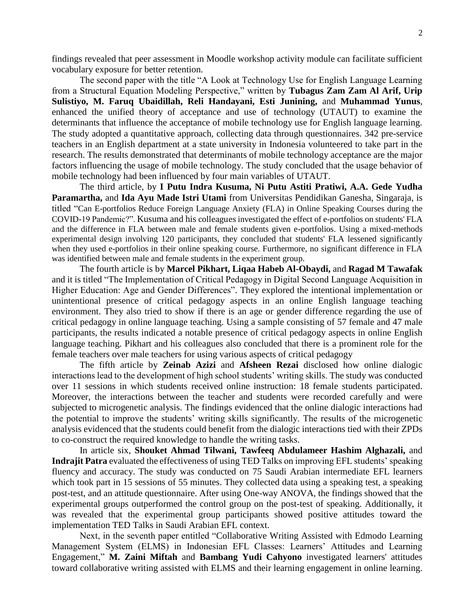findings revealed that peer assessment in Moodle workshop activity module can facilitate sufficient vocabulary exposure for better retention.

The second paper with the title "A Look at Technology Use for English Language Learning from a Structural Equation Modeling Perspective," written by **Tubagus Zam Zam Al Arif, Urip Sulistiyo, M. Faruq Ubaidillah, Reli Handayani, Esti Junining,** and **Muhammad Yunus**, enhanced the unified theory of acceptance and use of technology (UTAUT) to examine the determinants that influence the acceptance of mobile technology use for English language learning. The study adopted a quantitative approach, collecting data through questionnaires. 342 pre-service teachers in an English department at a state university in Indonesia volunteered to take part in the research. The results demonstrated that determinants of mobile technology acceptance are the major factors influencing the usage of mobile technology. The study concluded that the usage behavior of mobile technology had been influenced by four main variables of UTAUT.

The third article, by **I Putu Indra Kusuma, Ni Putu Astiti Pratiwi, A.A. Gede Yudha Paramartha,** and **Ida Ayu Made Istri Utami** from Universitas Pendidikan Ganesha, Singaraja, is titled "Can E-portfolios Reduce Foreign Language Anxiety (FLA) in Online Speaking Courses during the COVID-19 Pandemic?". Kusuma and his colleagues investigated the effect of e-portfolios on students' FLA and the difference in FLA between male and female students given e-portfolios. Using a mixed-methods experimental design involving 120 participants, they concluded that students' FLA lessened significantly when they used e-portfolios in their online speaking course. Furthermore, no significant difference in FLA was identified between male and female students in the experiment group.

The fourth article is by **Marcel Pikhart, Liqaa Habeb Al-Obaydi,** and **Ragad M Tawafak** and it is titled "The Implementation of Critical Pedagogy in Digital Second Language Acquisition in Higher Education: Age and Gender Differences". They explored the intentional implementation or unintentional presence of critical pedagogy aspects in an online English language teaching environment. They also tried to show if there is an age or gender difference regarding the use of critical pedagogy in online language teaching. Using a sample consisting of 57 female and 47 male participants, the results indicated a notable presence of critical pedagogy aspects in online English language teaching. Pikhart and his colleagues also concluded that there is a prominent role for the female teachers over male teachers for using various aspects of critical pedagogy

The fifth article by **Zeinab Azizi** and **Afsheen Rezai** disclosed how online dialogic interactions lead to the development of high school students' writing skills. The study was conducted over 11 sessions in which students received online instruction: 18 female students participated. Moreover, the interactions between the teacher and students were recorded carefully and were subjected to microgenetic analysis. The findings evidenced that the online dialogic interactions had the potential to improve the students' writing skills significantly. The results of the microgenetic analysis evidenced that the students could benefit from the dialogic interactions tied with their ZPDs to co-construct the required knowledge to handle the writing tasks.

In article six, **Shouket Ahmad Tilwani, Tawfeeq Abdulameer Hashim Alghazali,** and **Indrajit Patra** evaluated the effectiveness of using TED Talks on improving EFL students' speaking fluency and accuracy. The study was conducted on 75 Saudi Arabian intermediate EFL learners which took part in 15 sessions of 55 minutes. They collected data using a speaking test, a speaking post-test, and an attitude questionnaire. After using One-way ANOVA, the findings showed that the experimental groups outperformed the control group on the post-test of speaking. Additionally, it was revealed that the experimental group participants showed positive attitudes toward the implementation TED Talks in Saudi Arabian EFL context.

Next, in the seventh paper entitled "Collaborative Writing Assisted with Edmodo Learning Management System (ELMS) in Indonesian EFL Classes: Learners' Attitudes and Learning Engagement," **M. Zaini Miftah** and **Bambang Yudi Cahyono** investigated learners' attitudes toward collaborative writing assisted with ELMS and their learning engagement in online learning.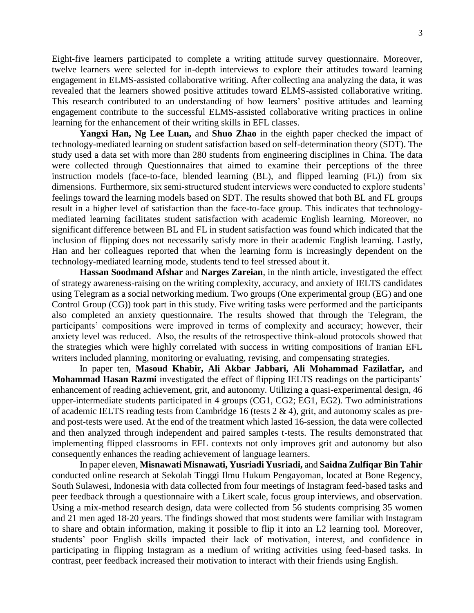Eight-five learners participated to complete a writing attitude survey questionnaire. Moreover, twelve learners were selected for in-depth interviews to explore their attitudes toward learning engagement in ELMS-assisted collaborative writing. After collecting ana analyzing the data, it was revealed that the learners showed positive attitudes toward ELMS-assisted collaborative writing. This research contributed to an understanding of how learners' positive attitudes and learning engagement contribute to the successful ELMS-assisted collaborative writing practices in online learning for the enhancement of their writing skills in EFL classes.

**Yangxi Han, Ng Lee Luan,** and **Shuo Zhao** in the eighth paper checked the impact of technology-mediated learning on student satisfaction based on self-determination theory (SDT). The study used a data set with more than 280 students from engineering disciplines in China. The data were collected through Questionnaires that aimed to examine their perceptions of the three instruction models (face-to-face, blended learning (BL), and flipped learning (FL)) from six dimensions. Furthermore, six semi-structured student interviews were conducted to explore students' feelings toward the learning models based on SDT. The results showed that both BL and FL groups result in a higher level of satisfaction than the face-to-face group. This indicates that technologymediated learning facilitates student satisfaction with academic English learning. Moreover, no significant difference between BL and FL in student satisfaction was found which indicated that the inclusion of flipping does not necessarily satisfy more in their academic English learning. Lastly, Han and her colleagues reported that when the learning form is increasingly dependent on the technology-mediated learning mode, students tend to feel stressed about it.

**Hassan Soodmand Afshar** and **Narges Zareian**, in the ninth article, investigated the effect of strategy awareness-raising on the writing complexity, accuracy, and anxiety of IELTS candidates using Telegram as a social networking medium. Two groups (One experimental group (EG) and one Control Group (CG)) took part in this study. Five writing tasks were performed and the participants also completed an anxiety questionnaire. The results showed that through the Telegram, the participants' compositions were improved in terms of complexity and accuracy; however, their anxiety level was reduced. Also, the results of the retrospective think-aloud protocols showed that the strategies which were highly correlated with success in writing compositions of Iranian EFL writers included planning, monitoring or evaluating, revising, and compensating strategies.

In paper ten, **Masoud Khabir, Ali Akbar Jabbari, Ali Mohammad Fazilatfar,** and **Mohammad Hasan Razmi** investigated the effect of flipping IELTS readings on the participants' enhancement of reading achievement, grit, and autonomy. Utilizing a quasi-experimental design, 46 upper-intermediate students participated in 4 groups (CG1, CG2; EG1, EG2). Two administrations of academic IELTS reading tests from Cambridge 16 (tests 2 & 4), grit, and autonomy scales as preand post-tests were used. At the end of the treatment which lasted 16-session, the data were collected and then analyzed through independent and paired samples t-tests. The results demonstrated that implementing flipped classrooms in EFL contexts not only improves grit and autonomy but also consequently enhances the reading achievement of language learners.

In paper eleven, **Misnawati Misnawati, Yusriadi Yusriadi,** and **Saidna Zulfiqar Bin Tahir** conducted online research at Sekolah Tinggi Ilmu Hukum Pengayoman, located at Bone Regency, South Sulawesi, Indonesia with data collected from four meetings of Instagram feed-based tasks and peer feedback through a questionnaire with a Likert scale, focus group interviews, and observation. Using a mix-method research design, data were collected from 56 students comprising 35 women and 21 men aged 18-20 years. The findings showed that most students were familiar with Instagram to share and obtain information, making it possible to flip it into an L2 learning tool. Moreover, students' poor English skills impacted their lack of motivation, interest, and confidence in participating in flipping Instagram as a medium of writing activities using feed-based tasks. In contrast, peer feedback increased their motivation to interact with their friends using English.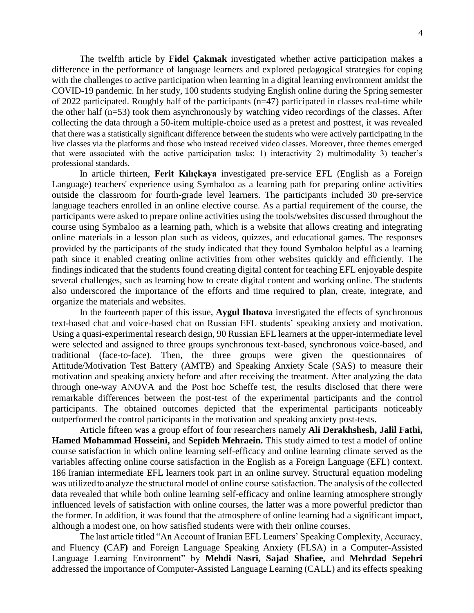The twelfth article by **Fidel Çakmak** investigated whether active participation makes a difference in the performance of language learners and explored pedagogical strategies for coping with the challenges to active participation when learning in a digital learning environment amidst the COVID-19 pandemic. In her study, 100 students studying English online during the Spring semester of 2022 participated. Roughly half of the participants (n=47) participated in classes real-time while the other half (n=53) took them asynchronously by watching video recordings of the classes. After collecting the data through a 50-item multiple-choice used as a pretest and posttest, it was revealed that there was a statistically significant difference between the students who were actively participating in the live classes via the platforms and those who instead received video classes. Moreover, three themes emerged that were associated with the active participation tasks: 1) interactivity 2) multimodality 3) teacher's professional standards.

In article thirteen, **Ferit Kılıçkaya** investigated pre-service EFL (English as a Foreign Language) teachers' experience using Symbaloo as a learning path for preparing online activities outside the classroom for fourth-grade level learners. The participants included 30 pre-service language teachers enrolled in an online elective course. As a partial requirement of the course, the participants were asked to prepare online activities using the tools/websites discussed throughout the course using Symbaloo as a learning path, which is a website that allows creating and integrating online materials in a lesson plan such as videos, quizzes, and educational games. The responses provided by the participants of the study indicated that they found Symbaloo helpful as a learning path since it enabled creating online activities from other websites quickly and efficiently. The findings indicated that the students found creating digital content for teaching EFL enjoyable despite several challenges, such as learning how to create digital content and working online. The students also underscored the importance of the efforts and time required to plan, create, integrate, and organize the materials and websites.

In the fourteenth paper of this issue, **Aygul Ibatova** investigated the effects of synchronous text-based chat and voice-based chat on Russian EFL students' speaking anxiety and motivation. Using a quasi-experimental research design, 90 Russian EFL learners at the upper-intermediate level were selected and assigned to three groups synchronous text-based, synchronous voice-based, and traditional (face-to-face). Then, the three groups were given the questionnaires of Attitude/Motivation Test Battery (AMTB) and Speaking Anxiety Scale (SAS) to measure their motivation and speaking anxiety before and after receiving the treatment. After analyzing the data through one-way ANOVA and the Post hoc Scheffe test, the results disclosed that there were remarkable differences between the post-test of the experimental participants and the control participants. The obtained outcomes depicted that the experimental participants noticeably outperformed the control participants in the motivation and speaking anxiety post-tests.

Article fifteen was a group effort of four researchers namely **Ali Derakhshesh, Jalil Fathi, Hamed Mohammad Hosseini,** and **Sepideh Mehraein.** This study aimed to test a model of online course satisfaction in which online learning self-efficacy and online learning climate served as the variables affecting online course satisfaction in the English as a Foreign Language (EFL) context. 186 Iranian intermediate EFL learners took part in an online survey. Structural equation modeling was utilizedto analyze the structural model of online course satisfaction. The analysis of the collected data revealed that while both online learning self-efficacy and online learning atmosphere strongly influenced levels of satisfaction with online courses, the latter was a more powerful predictor than the former. In addition, it was found that the atmosphere of online learning had a significant impact, although a modest one, on how satisfied students were with their online courses.

The last article titled "An Account of Iranian EFL Learners' Speaking Complexity, Accuracy, and Fluency **(**CAF**)** and Foreign Language Speaking Anxiety (FLSA) in a Computer-Assisted Language Learning Environment" by **Mehdi Nasri, Sajad Shafiee,** and **Mehrdad Sepehri** addressed the importance of Computer-Assisted Language Learning (CALL) and its effects speaking